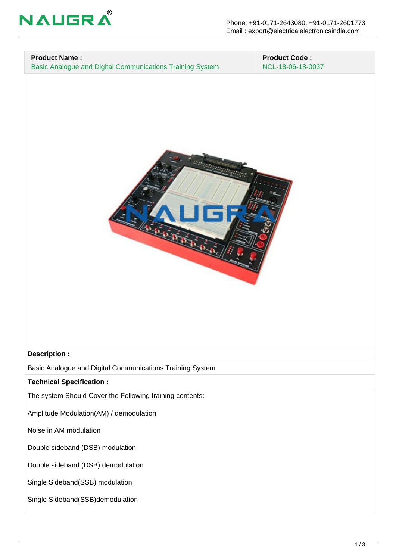

## **Product Name :**

Basic Analogue and Digital Communications Training System

 **Product Code :** NCL-18-06-18-0037



## **Description :**

Basic Analogue and Digital Communications Training System

**Technical Specification :**

The system Should Cover the Following training contents:

Amplitude Modulation(AM) / demodulation

Noise in AM modulation

Double sideband (DSB) modulation

Double sideband (DSB) demodulation

Single Sideband(SSB) modulation

Single Sideband(SSB)demodulation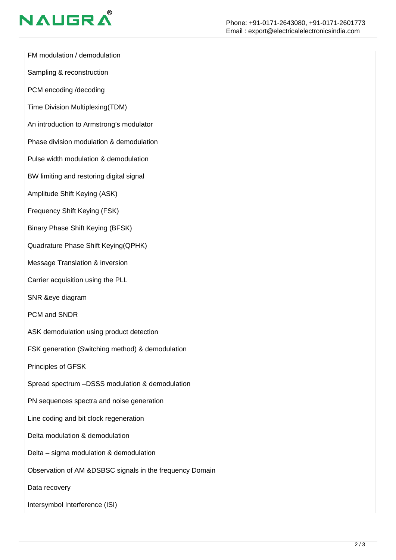

FM modulation / demodulation

Sampling & reconstruction

PCM encoding /decoding

Time Division Multiplexing(TDM)

An introduction to Armstrong's modulator

Phase division modulation & demodulation

Pulse width modulation & demodulation

BW limiting and restoring digital signal

Amplitude Shift Keying (ASK)

Frequency Shift Keying (FSK)

Binary Phase Shift Keying (BFSK)

Quadrature Phase Shift Keying(QPHK)

Message Translation & inversion

Carrier acquisition using the PLL

SNR &eye diagram

PCM and SNDR

ASK demodulation using product detection

FSK generation (Switching method) & demodulation

Principles of GFSK

Spread spectrum –DSSS modulation & demodulation

PN sequences spectra and noise generation

Line coding and bit clock regeneration

Delta modulation & demodulation

Delta – sigma modulation & demodulation

Observation of AM &DSBSC signals in the frequency Domain

Data recovery

Intersymbol Interference (ISI)